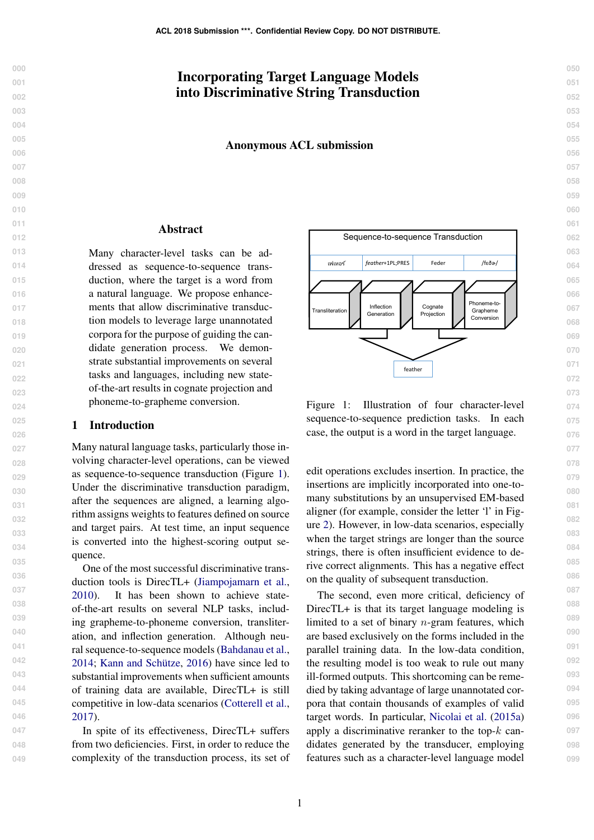# <span id="page-0-1"></span>Incorporating Target Language Models into Discriminative String Transduction

Anonymous ACL submission

### Abstract

Many character-level tasks can be addressed as sequence-to-sequence transduction, where the target is a word from a natural language. We propose enhancements that allow discriminative transduction models to leverage large unannotated corpora for the purpose of guiding the candidate generation process. We demonstrate substantial improvements on several tasks and languages, including new stateof-the-art results in cognate projection and phoneme-to-grapheme conversion.

# 1 Introduction

Many natural language tasks, particularly those involving character-level operations, can be viewed as sequence-to-sequence transduction (Figure [1\)](#page-0-0). Under the discriminative transduction paradigm, after the sequences are aligned, a learning algorithm assigns weights to features defined on source and target pairs. At test time, an input sequence is converted into the highest-scoring output sequence.

One of the most successful discriminative transduction tools is DirecTL+ [\(Jiampojamarn et al.,](#page-8-0) [2010\)](#page-8-0). It has been shown to achieve stateof-the-art results on several NLP tasks, including grapheme-to-phoneme conversion, transliteration, and inflection generation. Although neural sequence-to-sequence models [\(Bahdanau et al.,](#page-8-1) [2014;](#page-8-1) [Kann and Schütze,](#page-9-0) [2016\)](#page-9-0) have since led to substantial improvements when sufficient amounts of training data are available, DirecTL+ is still competitive in low-data scenarios [\(Cotterell et al.,](#page-8-2) [2017\)](#page-8-2).

In spite of its effectiveness, DirecTL+ suffers from two deficiencies. First, in order to reduce the complexity of the transduction process, its set of



<span id="page-0-0"></span>Figure 1: Illustration of four character-level sequence-to-sequence prediction tasks. In each case, the output is a word in the target language.

edit operations excludes insertion. In practice, the insertions are implicitly incorporated into one-tomany substitutions by an unsupervised EM-based aligner (for example, consider the letter 'l' in Figure [2\)](#page-1-0). However, in low-data scenarios, especially when the target strings are longer than the source strings, there is often insufficient evidence to derive correct alignments. This has a negative effect on the quality of subsequent transduction.

The second, even more critical, deficiency of DirecTL+ is that its target language modeling is limited to a set of binary  $n$ -gram features, which are based exclusively on the forms included in the parallel training data. In the low-data condition, the resulting model is too weak to rule out many ill-formed outputs. This shortcoming can be remedied by taking advantage of large unannotated corpora that contain thousands of examples of valid target words. In particular, [Nicolai et al.](#page-9-1) [\(2015a\)](#page-9-1) apply a discriminative reranker to the top- $k$  candidates generated by the transducer, employing features such as a character-level language model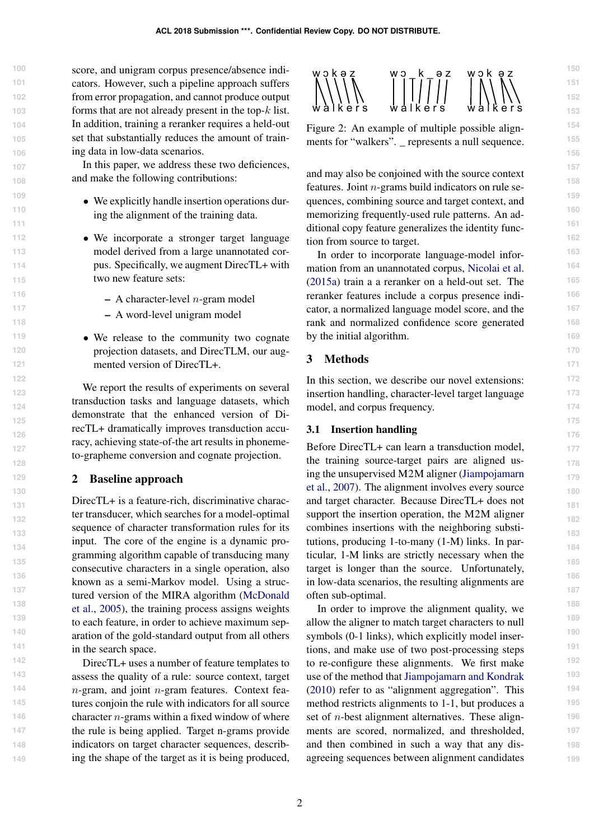score, and unigram corpus presence/absence indicators. However, such a pipeline approach suffers from error propagation, and cannot produce output forms that are not already present in the top- $k$  list. In addition, training a reranker requires a held-out set that substantially reduces the amount of training data in low-data scenarios.

In this paper, we address these two deficiences, and make the following contributions:

- ∙ We explicitly handle insertion operations during the alignment of the training data.
- ∙ We incorporate a stronger target language model derived from a large unannotated corpus. Specifically, we augment DirecTL+ with two new feature sets:
	- $-$  A character-level *n*-gram model
	- A word-level unigram model
- ∙ We release to the community two cognate projection datasets, and DirecTLM, our augmented version of DirecTL+.

We report the results of experiments on several transduction tasks and language datasets, which demonstrate that the enhanced version of DirecTL+ dramatically improves transduction accuracy, achieving state-of-the art results in phonemeto-grapheme conversion and cognate projection.

# <span id="page-1-2"></span>2 Baseline approach

DirecTL+ is a feature-rich, discriminative character transducer, which searches for a model-optimal sequence of character transformation rules for its input. The core of the engine is a dynamic programming algorithm capable of transducing many consecutive characters in a single operation, also known as a semi-Markov model. Using a structured version of the MIRA algorithm [\(McDonald](#page-9-2) [et al.,](#page-9-2) [2005\)](#page-9-2), the training process assigns weights to each feature, in order to achieve maximum separation of the gold-standard output from all others in the search space.

DirecTL+ uses a number of feature templates to assess the quality of a rule: source context, target  $n$ -gram, and joint  $n$ -gram features. Context features conjoin the rule with indicators for all source character  $n$ -grams within a fixed window of where the rule is being applied. Target n-grams provide indicators on target character sequences, describing the shape of the target as it is being produced,



<span id="page-1-0"></span>Figure 2: An example of multiple possible alignments for "walkers". \_ represents a null sequence.

and may also be conjoined with the source context features. Joint  $n$ -grams build indicators on rule sequences, combining source and target context, and memorizing frequently-used rule patterns. An additional copy feature generalizes the identity function from source to target.

In order to incorporate language-model information from an unannotated corpus, [Nicolai et al.](#page-9-1) [\(2015a\)](#page-9-1) train a a reranker on a held-out set. The reranker features include a corpus presence indicator, a normalized language model score, and the rank and normalized confidence score generated by the initial algorithm.

# <span id="page-1-1"></span>3 Methods

In this section, we describe our novel extensions: insertion handling, character-level target language model, and corpus frequency.

### <span id="page-1-3"></span>3.1 Insertion handling

Before DirecTL+ can learn a transduction model, the training source-target pairs are aligned using the unsupervised M2M aligner [\(Jiampojamarn](#page-8-3) [et al.,](#page-8-3) [2007\)](#page-8-3). The alignment involves every source and target character. Because DirecTL+ does not support the insertion operation, the M2M aligner combines insertions with the neighboring substitutions, producing 1-to-many (1-M) links. In particular, 1-M links are strictly necessary when the target is longer than the source. Unfortunately, in low-data scenarios, the resulting alignments are often sub-optimal.

In order to improve the alignment quality, we allow the aligner to match target characters to null symbols (0-1 links), which explicitly model insertions, and make use of two post-processing steps to re-configure these alignments. We first make use of the method that [Jiampojamarn and Kondrak](#page-8-4) [\(2010\)](#page-8-4) refer to as "alignment aggregation". This method restricts alignments to 1-1, but produces a set of  $n$ -best alignment alternatives. These alignments are scored, normalized, and thresholded, and then combined in such a way that any disagreeing sequences between alignment candidates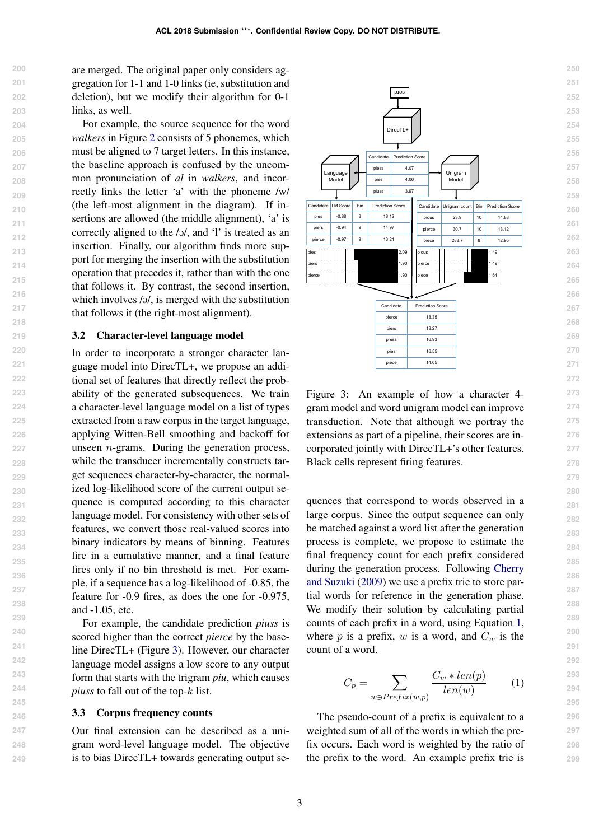are merged. The original paper only considers aggregation for 1-1 and 1-0 links (ie, substitution and deletion), but we modify their algorithm for 0-1 links, as well.

For example, the source sequence for the word *walkers* in Figure [2](#page-1-0) consists of 5 phonemes, which must be aligned to 7 target letters. In this instance, the baseline approach is confused by the uncommon pronunciation of *al* in *walkers*, and incorrectly links the letter 'a' with the phoneme /w/ (the left-most alignment in the diagram). If insertions are allowed (the middle alignment), 'a' is correctly aligned to the /o/, and 'l' is treated as an insertion. Finally, our algorithm finds more support for merging the insertion with the substitution operation that precedes it, rather than with the one that follows it. By contrast, the second insertion, which involves  $\sqrt{a}$ , is merged with the substitution that follows it (the right-most alignment).

#### 3.2 Character-level language model

In order to incorporate a stronger character language model into DirecTL+, we propose an additional set of features that directly reflect the probability of the generated subsequences. We train a character-level language model on a list of types extracted from a raw corpus in the target language, applying Witten-Bell smoothing and backoff for unseen  $n$ -grams. During the generation process, while the transducer incrementally constructs target sequences character-by-character, the normalized log-likelihood score of the current output sequence is computed according to this character language model. For consistency with other sets of features, we convert those real-valued scores into binary indicators by means of binning. Features fire in a cumulative manner, and a final feature fires only if no bin threshold is met. For example, if a sequence has a log-likelihood of -0.85, the feature for -0.9 fires, as does the one for -0.975, and -1.05, etc.

For example, the candidate prediction *piuss* is scored higher than the correct *pierce* by the baseline DirecTL+ (Figure [3\)](#page-2-0). However, our character language model assigns a low score to any output form that starts with the trigram *piu*, which causes *piuss* to fall out of the top- $k$  list.

#### 3.3 Corpus frequency counts

Our final extension can be described as a unigram word-level language model. The objective is to bias DirecTL+ towards generating output se-



<span id="page-2-0"></span>Figure 3: An example of how a character 4 gram model and word unigram model can improve transduction. Note that although we portray the extensions as part of a pipeline, their scores are incorporated jointly with DirecTL+'s other features. Black cells represent firing features.

quences that correspond to words observed in a large corpus. Since the output sequence can only be matched against a word list after the generation process is complete, we propose to estimate the final frequency count for each prefix considered during the generation process. Following [Cherry](#page-8-5) [and Suzuki](#page-8-5) [\(2009\)](#page-8-5) we use a prefix trie to store partial words for reference in the generation phase. We modify their solution by calculating partial counts of each prefix in a word, using Equation [1,](#page-2-1) where  $p$  is a prefix,  $w$  is a word, and  $C_w$  is the count of a word.

<span id="page-2-1"></span>
$$
C_p = \sum_{w \ni Prefix(w,p)} \frac{C_w * len(p)}{len(w)} \tag{1}
$$

The pseudo-count of a prefix is equivalent to a weighted sum of all of the words in which the prefix occurs. Each word is weighted by the ratio of the prefix to the word. An example prefix trie is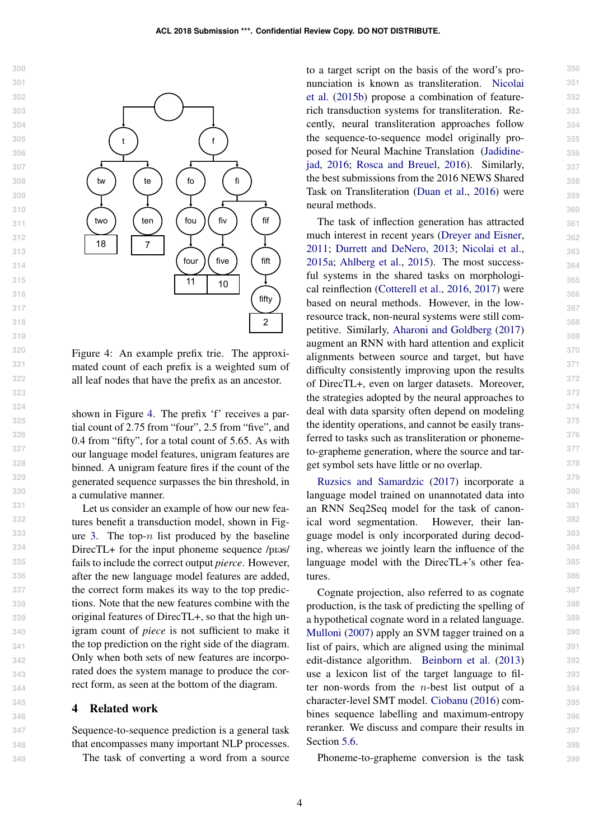

<span id="page-3-0"></span>Figure 4: An example prefix trie. The approximated count of each prefix is a weighted sum of all leaf nodes that have the prefix as an ancestor.

shown in Figure [4.](#page-3-0) The prefix 'f' receives a partial count of 2.75 from "four", 2.5 from "five", and 0.4 from "fifty", for a total count of 5.65. As with our language model features, unigram features are binned. A unigram feature fires if the count of the generated sequence surpasses the bin threshold, in a cumulative manner.

Let us consider an example of how our new features benefit a transduction model, shown in Fig-ure [3.](#page-2-0) The top- $n$  list produced by the baseline DirecTL+ for the input phoneme sequence /pias/ fails to include the correct output *pierce*. However, after the new language model features are added, the correct form makes its way to the top predictions. Note that the new features combine with the original features of DirecTL+, so that the high unigram count of *piece* is not sufficient to make it the top prediction on the right side of the diagram. Only when both sets of new features are incorporated does the system manage to produce the correct form, as seen at the bottom of the diagram.

### 4 Related work

Sequence-to-sequence prediction is a general task that encompasses many important NLP processes.

The task of converting a word from a source

to a target script on the basis of the word's pronunciation is known as transliteration. [Nicolai](#page-9-3) [et al.](#page-9-3) [\(2015b\)](#page-9-3) propose a combination of featurerich transduction systems for transliteration. Recently, neural transliteration approaches follow the sequence-to-sequence model originally proposed for Neural Machine Translation [\(Jadidine](#page-8-6)[jad,](#page-8-6) [2016;](#page-8-6) [Rosca and Breuel,](#page-9-4) [2016\)](#page-9-4). Similarly, the best submissions from the 2016 NEWS Shared Task on Transliteration [\(Duan et al.,](#page-8-7) [2016\)](#page-8-7) were neural methods.

The task of inflection generation has attracted much interest in recent years [\(Dreyer and Eisner,](#page-8-8) [2011;](#page-8-8) [Durrett and DeNero,](#page-8-9) [2013;](#page-8-9) [Nicolai et al.,](#page-9-1) [2015a;](#page-9-1) [Ahlberg et al.,](#page-8-10) [2015\)](#page-8-10). The most successful systems in the shared tasks on morphological reinflection [\(Cotterell et al.,](#page-8-11) [2016,](#page-8-11) [2017\)](#page-8-2) were based on neural methods. However, in the lowresource track, non-neural systems were still competitive. Similarly, [Aharoni and Goldberg](#page-8-12) [\(2017\)](#page-8-12) augment an RNN with hard attention and explicit alignments between source and target, but have difficulty consistently improving upon the results of DirecTL+, even on larger datasets. Moreover, the strategies adopted by the neural approaches to deal with data sparsity often depend on modeling the identity operations, and cannot be easily transferred to tasks such as transliteration or phonemeto-grapheme generation, where the source and target symbol sets have little or no overlap.

[Ruzsics and Samardzic](#page-9-5) [\(2017\)](#page-9-5) incorporate a language model trained on unannotated data into an RNN Seq2Seq model for the task of canonical word segmentation. However, their language model is only incorporated during decoding, whereas we jointly learn the influence of the language model with the DirecTL+'s other features.

Cognate projection, also referred to as cognate production, is the task of predicting the spelling of a hypothetical cognate word in a related language. [Mulloni](#page-9-6) [\(2007\)](#page-9-6) apply an SVM tagger trained on a list of pairs, which are aligned using the minimal edit-distance algorithm. [Beinborn et al.](#page-8-13) [\(2013\)](#page-8-13) use a lexicon list of the target language to filter non-words from the  $n$ -best list output of a character-level SMT model. [Ciobanu](#page-8-14) [\(2016\)](#page-8-14) combines sequence labelling and maximum-entropy reranker. We discuss and compare their results in Section [5.6.](#page-6-0)

Phoneme-to-grapheme conversion is the task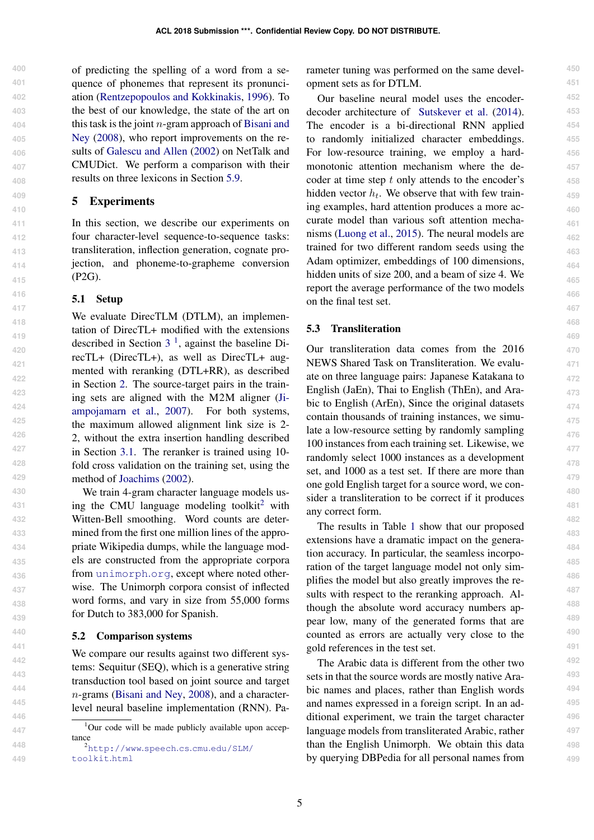of predicting the spelling of a word from a sequence of phonemes that represent its pronunciation [\(Rentzepopoulos and Kokkinakis,](#page-9-7) [1996\)](#page-9-7). To the best of our knowledge, the state of the art on this task is the joint  $n$ -gram approach of [Bisani and](#page-8-15) [Ney](#page-8-15) [\(2008\)](#page-8-15), who report improvements on the results of [Galescu and Allen](#page-8-16) [\(2002\)](#page-8-16) on NetTalk and CMUDict. We perform a comparison with their results on three lexicons in Section [5.9.](#page-7-0)

## 5 Experiments

In this section, we describe our experiments on four character-level sequence-to-sequence tasks: transliteration, inflection generation, cognate projection, and phoneme-to-grapheme conversion (P2G).

### 5.1 Setup

We evaluate DirecTLM (DTLM), an implementation of DirecTL+ modified with the extensions described in Section  $3<sup>1</sup>$  $3<sup>1</sup>$  $3<sup>1</sup>$  $3<sup>1</sup>$ , against the baseline DirecTL+ (DirecTL+), as well as DirecTL+ augmented with reranking (DTL+RR), as described in Section [2.](#page-1-2) The source-target pairs in the training sets are aligned with the M2M aligner [\(Ji](#page-8-3)[ampojamarn et al.,](#page-8-3) [2007\)](#page-8-3). For both systems, the maximum allowed alignment link size is 2- 2, without the extra insertion handling described in Section [3.1.](#page-1-3) The reranker is trained using 10 fold cross validation on the training set, using the method of [Joachims](#page-8-17) [\(2002\)](#page-8-17).

We train 4-gram character language models us-ing the CMU language modeling toolkit<sup>[2](#page-0-1)</sup> with Witten-Bell smoothing. Word counts are determined from the first one million lines of the appropriate Wikipedia dumps, while the language models are constructed from the appropriate corpora from [unimorph](unimorph.org).org, except where noted otherwise. The Unimorph corpora consist of inflected word forms, and vary in size from 55,000 forms for Dutch to 383,000 for Spanish.

#### 5.2 Comparison systems

We compare our results against two different systems: Sequitur (SEQ), which is a generative string transduction tool based on joint source and target  $n$ -grams [\(Bisani and Ney,](#page-8-15) [2008\)](#page-8-15), and a characterlevel neural baseline implementation (RNN). Parameter tuning was performed on the same development sets as for DTLM.

Our baseline neural model uses the encoderdecoder architecture of [Sutskever et al.](#page-9-8) [\(2014\)](#page-9-8). The encoder is a bi-directional RNN applied to randomly initialized character embeddings. For low-resource training, we employ a hardmonotonic attention mechanism where the decoder at time step  $t$  only attends to the encoder's hidden vector  $h_t$ . We observe that with few training examples, hard attention produces a more accurate model than various soft attention mechanisms [\(Luong et al.,](#page-9-9) [2015\)](#page-9-9). The neural models are trained for two different random seeds using the Adam optimizer, embeddings of 100 dimensions, hidden units of size 200, and a beam of size 4. We report the average performance of the two models on the final test set.

# 5.3 Transliteration

Our transliteration data comes from the 2016 NEWS Shared Task on Transliteration. We evaluate on three language pairs: Japanese Katakana to English (JaEn), Thai to English (ThEn), and Arabic to English (ArEn), Since the original datasets contain thousands of training instances, we simulate a low-resource setting by randomly sampling 100 instances from each training set. Likewise, we randomly select 1000 instances as a development set, and 1000 as a test set. If there are more than one gold English target for a source word, we consider a transliteration to be correct if it produces any correct form.

The results in Table [1](#page-5-0) show that our proposed extensions have a dramatic impact on the generation accuracy. In particular, the seamless incorporation of the target language model not only simplifies the model but also greatly improves the results with respect to the reranking approach. Although the absolute word accuracy numbers appear low, many of the generated forms that are counted as errors are actually very close to the gold references in the test set.

The Arabic data is different from the other two sets in that the source words are mostly native Arabic names and places, rather than English words and names expressed in a foreign script. In an additional experiment, we train the target character language models from transliterated Arabic, rather than the English Unimorph. We obtain this data by querying DBPedia for all personal names from

 $1$ Our code will be made publicly available upon acceptance

<sup>2</sup>[http://www](http://www.speech.cs.cmu.edu/SLM/toolkit.html).speech.cs.cmu.edu/SLM/ [toolkit](http://www.speech.cs.cmu.edu/SLM/toolkit.html).html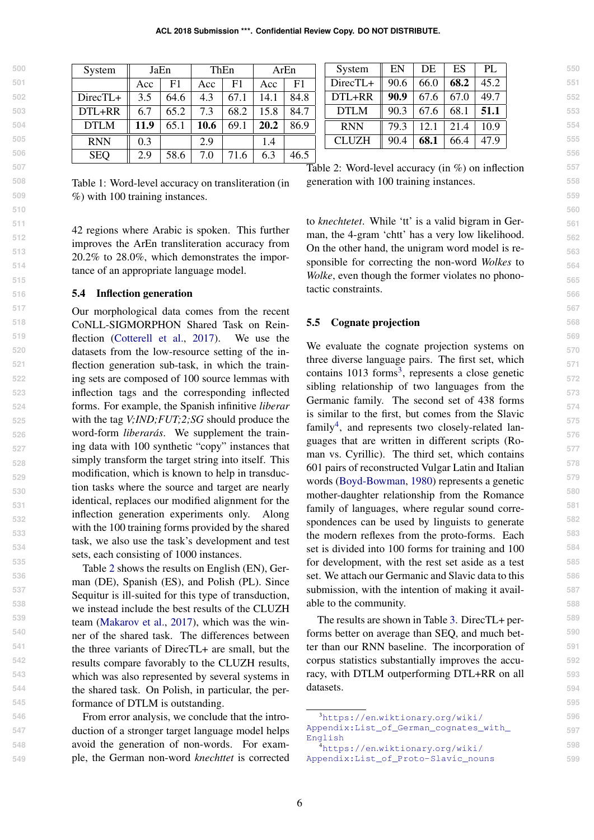| System     |      | JaEn | ThEn |      |      | ArEn |
|------------|------|------|------|------|------|------|
|            | Acc  | F1   | Acc  | F1   | Acc  | F1   |
| DirecTL+   | 3.5  | 64.6 | 4.3  | 67.1 | 14.1 | 84.8 |
| DTL+RR     | 6.7  | 65.2 | 7.3  | 68.2 | 15.8 | 84.7 |
| DTLM       | 11.9 | 65.1 | 10.6 | 69.1 | 20.2 | 86.9 |
| <b>RNN</b> | 0.3  |      | 2.9  |      | 1.4  |      |
| <b>SEO</b> | 2.9  | 58.6 | 7.0  | 71.6 | 63   | 46.5 |

<span id="page-5-0"></span>Table 1: Word-level accuracy on transliteration (in %) with 100 training instances.

42 regions where Arabic is spoken. This further improves the ArEn transliteration accuracy from 20.2% to 28.0%, which demonstrates the importance of an appropriate language model.

#### 5.4 Inflection generation

Our morphological data comes from the recent CoNLL-SIGMORPHON Shared Task on Reinflection [\(Cotterell et al.,](#page-8-2) [2017\)](#page-8-2). We use the datasets from the low-resource setting of the inflection generation sub-task, in which the training sets are composed of 100 source lemmas with inflection tags and the corresponding inflected forms. For example, the Spanish infinitive *liberar* with the tag *V;IND;FUT;2;SG* should produce the word-form *liberarás*. We supplement the training data with 100 synthetic "copy" instances that simply transform the target string into itself. This modification, which is known to help in transduction tasks where the source and target are nearly identical, replaces our modified alignment for the inflection generation experiments only. Along with the 100 training forms provided by the shared task, we also use the task's development and test sets, each consisting of 1000 instances.

Table [2](#page-5-1) shows the results on English (EN), German (DE), Spanish (ES), and Polish (PL). Since Sequitur is ill-suited for this type of transduction, we instead include the best results of the CLUZH team [\(Makarov et al.,](#page-9-10) [2017\)](#page-9-10), which was the winner of the shared task. The differences between the three variants of DirecTL+ are small, but the results compare favorably to the CLUZH results, which was also represented by several systems in the shared task. On Polish, in particular, the performance of DTLM is outstanding.

From error analysis, we conclude that the introduction of a stronger target language model helps avoid the generation of non-words. For example, the German non-word *knechttet* is corrected

| System       | EN   | DE   | ES   | PI.  |
|--------------|------|------|------|------|
| DirecTL+     | 90.6 | 66.0 | 68.2 | 45.2 |
| DTL+RR       | 90.9 | 67.6 | 67.0 | 49.7 |
| <b>DTLM</b>  | 90.3 | 67.6 | 68.1 | 51.1 |
| <b>RNN</b>   | 79.3 | 12.1 | 214  | 10.9 |
| <b>CLUZH</b> | 90.4 | 68.1 | 66.4 | 47.9 |

<span id="page-5-1"></span>Table 2: Word-level accuracy (in %) on inflection generation with 100 training instances.

to *knechtetet*. While 'tt' is a valid bigram in German, the 4-gram 'chtt' has a very low likelihood. On the other hand, the unigram word model is responsible for correcting the non-word *Wolkes* to *Wolke*, even though the former violates no phonotactic constraints.

# <span id="page-5-2"></span>5.5 Cognate projection

We evaluate the cognate projection systems on three diverse language pairs. The first set, which contains 101[3](#page-0-1) forms<sup>3</sup>, represents a close genetic sibling relationship of two languages from the Germanic family. The second set of 438 forms is similar to the first, but comes from the Slavic family<sup>[4](#page-0-1)</sup>, and represents two closely-related languages that are written in different scripts (Roman vs. Cyrillic). The third set, which contains 601 pairs of reconstructed Vulgar Latin and Italian words [\(Boyd-Bowman,](#page-8-18) [1980\)](#page-8-18) represents a genetic mother-daughter relationship from the Romance family of languages, where regular sound correspondences can be used by linguists to generate the modern reflexes from the proto-forms. Each set is divided into 100 forms for training and 100 for development, with the rest set aside as a test set. We attach our Germanic and Slavic data to this submission, with the intention of making it available to the community.

The results are shown in Table [3.](#page-6-1) DirecTL+ performs better on average than SEQ, and much better than our RNN baseline. The incorporation of corpus statistics substantially improves the accuracy, with DTLM outperforming DTL+RR on all datasets.

<sup>3</sup>[https://en](https://en.wiktionary.org/wiki/Appendix:List_of_German_cognates_with_English).wiktionary.org/wiki/

[Appendix:List\\_of\\_German\\_cognates\\_with\\_](https://en.wiktionary.org/wiki/Appendix:List_of_German_cognates_with_English) [English](https://en.wiktionary.org/wiki/Appendix:List_of_German_cognates_with_English)

<sup>4</sup>[https://en](https://en.wiktionary.org/wiki/Appendix:List_of_Proto-Slavic_nouns).wiktionary.org/wiki/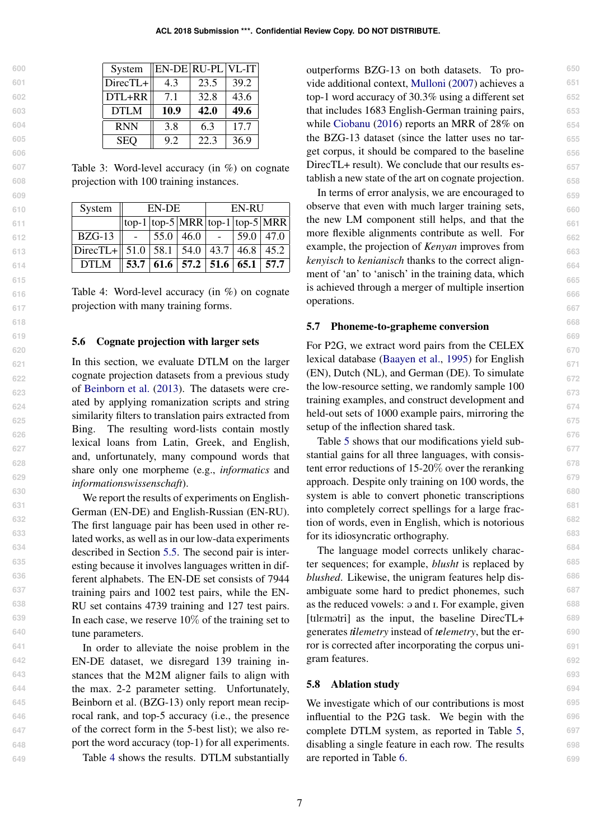| 600 |   |
|-----|---|
| 601 |   |
| 602 |   |
| 603 |   |
| 604 |   |
| 605 |   |
| 606 |   |
| 607 |   |
| 608 |   |
| 609 |   |
| 610 |   |
| 61  | 1 |
| 612 |   |
| 613 |   |
| 614 |   |
| 615 |   |
| 616 |   |
|     |   |
| 617 |   |
| 618 |   |
| 619 |   |
| 620 |   |
| 621 |   |
| 622 |   |
| 623 |   |
| 624 |   |
| 625 |   |
| 626 |   |
| 627 |   |
| 628 |   |
| 629 |   |
| 630 |   |
| 631 |   |
| 632 |   |
| 633 |   |
| 634 |   |
| 635 |   |
| 636 |   |
| 637 |   |
| 638 |   |
| 639 |   |
| 640 |   |
| 641 |   |
| 642 |   |
| 643 |   |
| 644 |   |
| 645 |   |
| 646 |   |
| 64  | 1 |

**648 649**

| $DTL+RR$    |      | 32.8 | 43.6 |
|-------------|------|------|------|
| <b>DTLM</b> | 10.9 | 42.0 | 49.6 |
| <b>RNN</b>  | 3.8  | 6.3  | 17.7 |
| <b>SEQ</b>  | 9.2  | 22.3 | 36.9 |

System ||EN-DE ||RU-PL || VL-IT DirecTL+ $\|$  4.3  $\|$  23.5  $\|$  39.2

<span id="page-6-1"></span>Table 3: Word-level accuracy (in %) on cognate projection with 100 training instances.

| System                                                | EN-DE |  |                                           | EN-RU |      |                                      |
|-------------------------------------------------------|-------|--|-------------------------------------------|-------|------|--------------------------------------|
|                                                       |       |  |                                           |       |      | $\log_{1}$ top-5 MRR top-1 top-5 MRR |
| $BZG-13$                                              |       |  | $55.0 \, \, 46.0$                         |       | 59.0 | $\vert$ 47.0                         |
| DirecTL+ $\parallel$ 51.0   58.1   54.0   43.7   46.8 |       |  |                                           |       |      | 45.2                                 |
| <b>DTLM</b>                                           |       |  | $53.7   61.6   57.2   51.6   65.1   57.7$ |       |      |                                      |

<span id="page-6-2"></span>Table 4: Word-level accuracy (in %) on cognate projection with many training forms.

#### <span id="page-6-0"></span>5.6 Cognate projection with larger sets

In this section, we evaluate DTLM on the larger cognate projection datasets from a previous study of [Beinborn et al.](#page-8-13) [\(2013\)](#page-8-13). The datasets were created by applying romanization scripts and string similarity filters to translation pairs extracted from Bing. The resulting word-lists contain mostly lexical loans from Latin, Greek, and English, and, unfortunately, many compound words that share only one morpheme (e.g., *informatics* and *informationswissenschaft*).

We report the results of experiments on English-German (EN-DE) and English-Russian (EN-RU). The first language pair has been used in other related works, as well as in our low-data experiments described in Section [5.5.](#page-5-2) The second pair is interesting because it involves languages written in different alphabets. The EN-DE set consists of 7944 training pairs and 1002 test pairs, while the EN-RU set contains 4739 training and 127 test pairs. In each case, we reserve  $10\%$  of the training set to tune parameters.

In order to alleviate the noise problem in the EN-DE dataset, we disregard 139 training instances that the M2M aligner fails to align with the max. 2-2 parameter setting. Unfortunately, Beinborn et al. (BZG-13) only report mean reciprocal rank, and top-5 accuracy (i.e., the presence of the correct form in the 5-best list); we also report the word accuracy (top-1) for all experiments.

Table [4](#page-6-2) shows the results. DTLM substantially

outperforms BZG-13 on both datasets. To provide additional context, [Mulloni](#page-9-6) [\(2007\)](#page-9-6) achieves a top-1 word accuracy of 30.3% using a different set that includes 1683 English-German training pairs, while [Ciobanu](#page-8-14) [\(2016\)](#page-8-14) reports an MRR of 28% on the BZG-13 dataset (since the latter uses no target corpus, it should be compared to the baseline DirecTL+ result). We conclude that our results establish a new state of the art on cognate projection.

In terms of error analysis, we are encouraged to observe that even with much larger training sets, the new LM component still helps, and that the more flexible alignments contribute as well. For example, the projection of *Kenyan* improves from *kenyisch* to *kenianisch* thanks to the correct alignment of 'an' to 'anisch' in the training data, which is achieved through a merger of multiple insertion operations.

#### 5.7 Phoneme-to-grapheme conversion

For P2G, we extract word pairs from the CELEX lexical database [\(Baayen et al.,](#page-8-19) [1995\)](#page-8-19) for English (EN), Dutch (NL), and German (DE). To simulate the low-resource setting, we randomly sample 100 training examples, and construct development and held-out sets of 1000 example pairs, mirroring the setup of the inflection shared task.

Table [5](#page-7-1) shows that our modifications yield substantial gains for all three languages, with consistent error reductions of 15-20% over the reranking approach. Despite only training on 100 words, the system is able to convert phonetic transcriptions into completely correct spellings for a large fraction of words, even in English, which is notorious for its idiosyncratic orthography.

The language model corrects unlikely character sequences; for example, *blusht* is replaced by *blushed*. Likewise, the unigram features help disambiguate some hard to predict phonemes, such as the reduced vowels:  $\varphi$  and I. For example, given [tIlEm@tri] as the input, the baseline DirecTL+ generates *tilemetry* instead of *telemetry*, but the error is corrected after incorporating the corpus unigram features.

### 5.8 Ablation study

We investigate which of our contributions is most influential to the P2G task. We begin with the complete DTLM system, as reported in Table [5,](#page-7-1) disabling a single feature in each row. The results are reported in Table [6.](#page-7-2)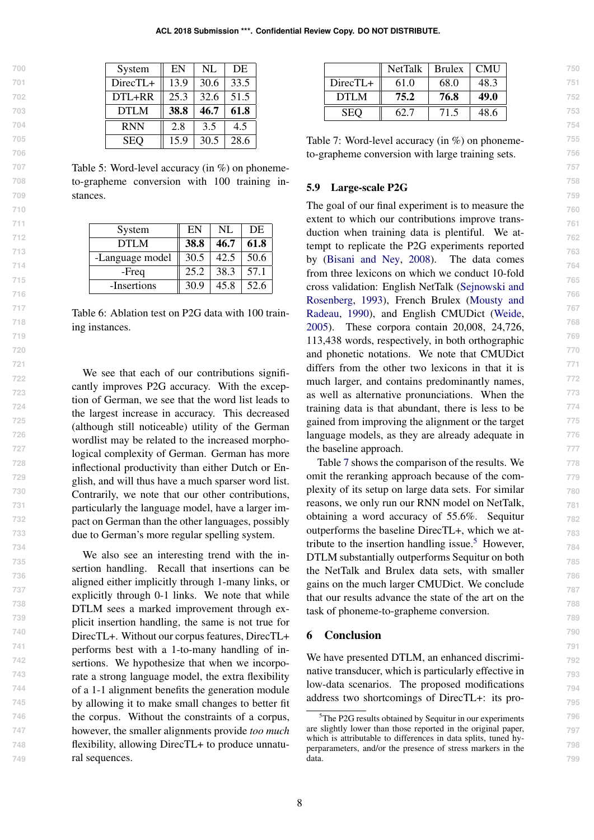| System      | EN   | NL   | DE   |
|-------------|------|------|------|
| DirecTL+    | 13.9 | 30.6 | 33.5 |
| DTL+RR      | 25.3 | 32.6 | 51.5 |
| <b>DTLM</b> | 38.8 | 46.7 | 61.8 |
|             |      |      |      |
| <b>RNN</b>  | 2.8  | 3.5  | 4.5  |

<span id="page-7-1"></span>Table 5: Word-level accuracy (in %) on phonemeto-grapheme conversion with 100 training instances.

| System          | EN          | NL   | DE   |
|-----------------|-------------|------|------|
| DTLM            | <b>38.8</b> | 46.7 | 61.8 |
| -Language model | 30.5        | 42.5 | 50.6 |
| -Freq           | 25.2        | 38.3 | 57.1 |
| -Insertions     | 30.9        | 45.8 | 52.6 |

<span id="page-7-2"></span>Table 6: Ablation test on P2G data with 100 training instances.

We see that each of our contributions significantly improves P2G accuracy. With the exception of German, we see that the word list leads to the largest increase in accuracy. This decreased (although still noticeable) utility of the German wordlist may be related to the increased morphological complexity of German. German has more inflectional productivity than either Dutch or English, and will thus have a much sparser word list. Contrarily, we note that our other contributions, particularly the language model, have a larger impact on German than the other languages, possibly due to German's more regular spelling system.

We also see an interesting trend with the insertion handling. Recall that insertions can be aligned either implicitly through 1-many links, or explicitly through 0-1 links. We note that while DTLM sees a marked improvement through explicit insertion handling, the same is not true for DirecTL+. Without our corpus features, DirecTL+ performs best with a 1-to-many handling of insertions. We hypothesize that when we incorporate a strong language model, the extra flexibility of a 1-1 alignment benefits the generation module by allowing it to make small changes to better fit the corpus. Without the constraints of a corpus, however, the smaller alignments provide *too much* flexibility, allowing DirecTL+ to produce unnatural sequences.

|            | <b>NetTalk</b> | <b>Brulex</b> | <b>CMU</b> |
|------------|----------------|---------------|------------|
| $DirectL+$ | 61.0           | 68.0          | 48.3       |
| DTLM       | 75.2           | 76.8          | 49.0       |
| <b>SEO</b> | 62.7           | 71.5          | 48.6       |

<span id="page-7-3"></span>Table 7: Word-level accuracy (in %) on phonemeto-grapheme conversion with large training sets.

### <span id="page-7-0"></span>5.9 Large-scale P2G

The goal of our final experiment is to measure the extent to which our contributions improve transduction when training data is plentiful. We attempt to replicate the P2G experiments reported by [\(Bisani and Ney,](#page-8-15) [2008\)](#page-8-15). The data comes from three lexicons on which we conduct 10-fold cross validation: English NetTalk [\(Sejnowski and](#page-9-11) [Rosenberg,](#page-9-11) [1993\)](#page-9-11), French Brulex [\(Mousty and](#page-9-12) [Radeau,](#page-9-12) [1990\)](#page-9-12), and English CMUDict [\(Weide,](#page-9-13) [2005\)](#page-9-13). These corpora contain 20,008, 24,726, 113,438 words, respectively, in both orthographic and phonetic notations. We note that CMUDict differs from the other two lexicons in that it is much larger, and contains predominantly names, as well as alternative pronunciations. When the training data is that abundant, there is less to be gained from improving the alignment or the target language models, as they are already adequate in the baseline approach.

Table [7](#page-7-3) shows the comparison of the results. We omit the reranking approach because of the complexity of its setup on large data sets. For similar reasons, we only run our RNN model on NetTalk, obtaining a word accuracy of 55.6%. Sequitur outperforms the baseline DirecTL+, which we at-tribute to the insertion handling issue.<sup>[5](#page-0-1)</sup> However, DTLM substantially outperforms Sequitur on both the NetTalk and Brulex data sets, with smaller gains on the much larger CMUDict. We conclude that our results advance the state of the art on the task of phoneme-to-grapheme conversion.

# 6 Conclusion

We have presented DTLM, an enhanced discriminative transducer, which is particularly effective in low-data scenarios. The proposed modifications address two shortcomings of DirecTL+: its pro-

<sup>&</sup>lt;sup>5</sup>The P2G results obtained by Sequitur in our experiments are slightly lower than those reported in the original paper, which is attributable to differences in data splits, tuned hyperparameters, and/or the presence of stress markers in the data.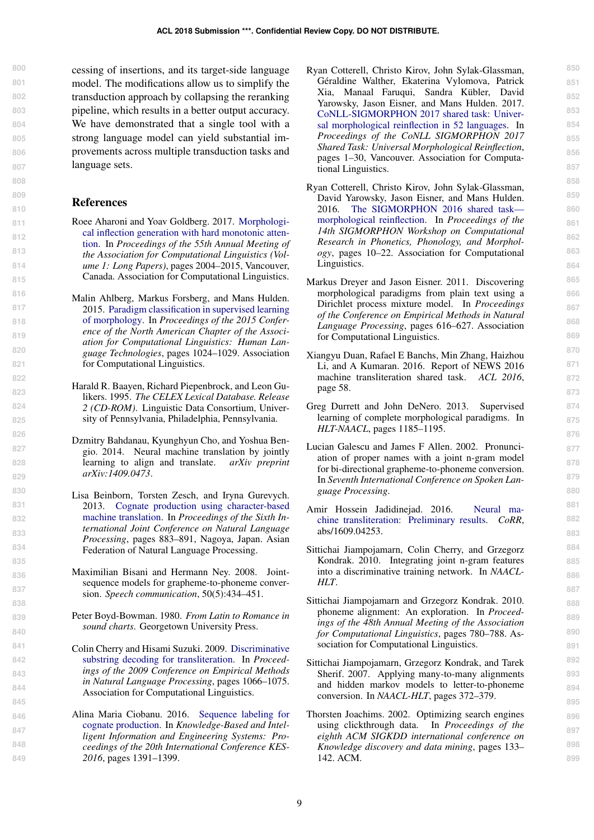cessing of insertions, and its target-side language model. The modifications allow us to simplify the transduction approach by collapsing the reranking pipeline, which results in a better output accuracy. We have demonstrated that a single tool with a strong language model can yield substantial improvements across multiple transduction tasks and language sets.

# References

- <span id="page-8-12"></span>Roee Aharoni and Yoav Goldberg. 2017. [Morphologi](http://aclweb.org/anthology/P17-1183)[cal inflection generation with hard monotonic atten](http://aclweb.org/anthology/P17-1183)[tion.](http://aclweb.org/anthology/P17-1183) In *Proceedings of the 55th Annual Meeting of the Association for Computational Linguistics (Volume 1: Long Papers)*, pages 2004–2015, Vancouver, Canada. Association for Computational Linguistics.
- <span id="page-8-10"></span>Malin Ahlberg, Markus Forsberg, and Mans Hulden. 2015. [Paradigm classification in supervised learning](https://doi.org/10.3115/v1/N15-1107) [of morphology.](https://doi.org/10.3115/v1/N15-1107) In *Proceedings of the 2015 Conference of the North American Chapter of the Association for Computational Linguistics: Human Language Technologies*, pages 1024–1029. Association for Computational Linguistics.
- <span id="page-8-19"></span>Harald R. Baayen, Richard Piepenbrock, and Leon Gulikers. 1995. *The CELEX Lexical Database. Release 2 (CD-ROM)*. Linguistic Data Consortium, University of Pennsylvania, Philadelphia, Pennsylvania.
- <span id="page-8-1"></span>Dzmitry Bahdanau, Kyunghyun Cho, and Yoshua Bengio. 2014. Neural machine translation by jointly learning to align and translate. *arXiv preprint arXiv:1409.0473*.
- <span id="page-8-13"></span>Lisa Beinborn, Torsten Zesch, and Iryna Gurevych. 2013. [Cognate production using character-based](http://www.aclweb.org/anthology/I13-1112) [machine translation.](http://www.aclweb.org/anthology/I13-1112) In *Proceedings of the Sixth International Joint Conference on Natural Language Processing*, pages 883–891, Nagoya, Japan. Asian Federation of Natural Language Processing.
- <span id="page-8-15"></span>Maximilian Bisani and Hermann Ney. 2008. Jointsequence models for grapheme-to-phoneme conversion. *Speech communication*, 50(5):434–451.
- <span id="page-8-18"></span>Peter Boyd-Bowman. 1980. *From Latin to Romance in sound charts*. Georgetown University Press.
- <span id="page-8-5"></span>Colin Cherry and Hisami Suzuki. 2009. [Discriminative](http://aclanthology.coli.uni-saarland.de/pdf/D/D09/D09-1111.pdf) [substring decoding for transliteration.](http://aclanthology.coli.uni-saarland.de/pdf/D/D09/D09-1111.pdf) In *Proceedings of the 2009 Conference on Empirical Methods in Natural Language Processing*, pages 1066–1075. Association for Computational Linguistics.
- <span id="page-8-14"></span>Alina Maria Ciobanu. 2016. [Sequence labeling for](http://www.sciencedirect.com/science/article/pii/S1877050916319949) [cognate production.](http://www.sciencedirect.com/science/article/pii/S1877050916319949) In *Knowledge-Based and Intelligent Information and Engineering Systems: Proceedings of the 20th International Conference KES-2016*, pages 1391–1399.

<span id="page-8-2"></span>Ryan Cotterell, Christo Kirov, John Sylak-Glassman, Géraldine Walther, Ekaterina Vylomova, Patrick Xia, Manaal Faruqui, Sandra Kübler, David Yarowsky, Jason Eisner, and Mans Hulden. 2017. [CoNLL-SIGMORPHON 2017 shared task: Univer](http://www.aclweb.org/anthology/K17-2001)[sal morphological reinflection in 52 languages.](http://www.aclweb.org/anthology/K17-2001) In *Proceedings of the CoNLL SIGMORPHON 2017 Shared Task: Universal Morphological Reinflection*, pages 1–30, Vancouver. Association for Computational Linguistics.

- <span id="page-8-11"></span>Ryan Cotterell, Christo Kirov, John Sylak-Glassman, David Yarowsky, Jason Eisner, and Mans Hulden. 2016. [The SIGMORPHON 2016 shared task](https://doi.org/10.18653/v1/W16-2002) [morphological reinflection.](https://doi.org/10.18653/v1/W16-2002) In *Proceedings of the 14th SIGMORPHON Workshop on Computational Research in Phonetics, Phonology, and Morphology*, pages 10–22. Association for Computational Linguistics.
- <span id="page-8-8"></span>Markus Dreyer and Jason Eisner. 2011. Discovering morphological paradigms from plain text using a Dirichlet process mixture model. In *Proceedings of the Conference on Empirical Methods in Natural Language Processing*, pages 616–627. Association for Computational Linguistics.
- <span id="page-8-7"></span>Xiangyu Duan, Rafael E Banchs, Min Zhang, Haizhou Li, and A Kumaran. 2016. Report of NEWS 2016 machine transliteration shared task. *ACL 2016*, page 58.
- <span id="page-8-9"></span>Greg Durrett and John DeNero. 2013. Supervised learning of complete morphological paradigms. In *HLT-NAACL*, pages 1185–1195.
- <span id="page-8-16"></span>Lucian Galescu and James F Allen. 2002. Pronunciation of proper names with a joint n-gram model for bi-directional grapheme-to-phoneme conversion. In *Seventh International Conference on Spoken Language Processing*.
- <span id="page-8-6"></span>Amir Hossein Jadidinejad. 2016. [Neural ma](http://arxiv.org/abs/1609.04253)[chine transliteration: Preliminary results.](http://arxiv.org/abs/1609.04253) *CoRR*, abs/1609.04253.
- <span id="page-8-0"></span>Sittichai Jiampojamarn, Colin Cherry, and Grzegorz Kondrak. 2010. Integrating joint n-gram features into a discriminative training network. In *NAACL-HLT*.
- <span id="page-8-4"></span>Sittichai Jiampojamarn and Grzegorz Kondrak. 2010. phoneme alignment: An exploration. In *Proceedings of the 48th Annual Meeting of the Association for Computational Linguistics*, pages 780–788. Association for Computational Linguistics.
- <span id="page-8-3"></span>Sittichai Jiampojamarn, Grzegorz Kondrak, and Tarek Sherif. 2007. Applying many-to-many alignments and hidden markov models to letter-to-phoneme conversion. In *NAACL-HLT*, pages 372–379.
- <span id="page-8-17"></span>Thorsten Joachims. 2002. Optimizing search engines using clickthrough data. In *Proceedings of the eighth ACM SIGKDD international conference on Knowledge discovery and data mining*, pages 133– 142. ACM.